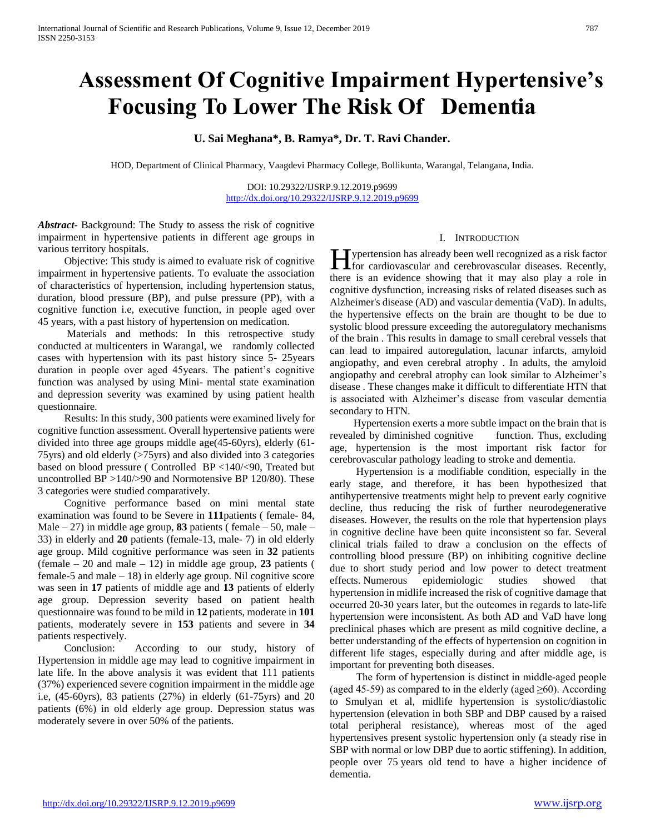# **Assessment Of Cognitive Impairment Hypertensive's Focusing To Lower The Risk Of Dementia**

# **U. Sai Meghana\*, B. Ramya\*, Dr. T. Ravi Chander.**

HOD, Department of Clinical Pharmacy, Vaagdevi Pharmacy College, Bollikunta, Warangal, Telangana, India.

DOI: 10.29322/IJSRP.9.12.2019.p9699 <http://dx.doi.org/10.29322/IJSRP.9.12.2019.p9699>

*Abstract***-** Background: The Study to assess the risk of cognitive impairment in hypertensive patients in different age groups in various territory hospitals.

 Objective: This study is aimed to evaluate risk of cognitive impairment in hypertensive patients. To evaluate the association of characteristics of hypertension, including hypertension status, duration, blood pressure (BP), and pulse pressure (PP), with a cognitive function i.e, executive function, in people aged over 45 years, with a past history of hypertension on medication.

 Materials and methods: In this retrospective study conducted at multicenters in Warangal, we randomly collected cases with hypertension with its past history since 5- 25years duration in people over aged 45years. The patient's cognitive function was analysed by using Mini- mental state examination and depression severity was examined by using patient health questionnaire.

 Results: In this study, 300 patients were examined lively for cognitive function assessment. Overall hypertensive patients were divided into three age groups middle age(45-60yrs), elderly (61- 75yrs) and old elderly (>75yrs) and also divided into 3 categories based on blood pressure ( Controlled BP <140/<90, Treated but uncontrolled BP >140/>90 and Normotensive BP 120/80). These 3 categories were studied comparatively.

 Cognitive performance based on mini mental state examination was found to be Severe in **111**patients ( female- 84, Male  $-27$ ) in middle age group, **83** patients (female  $-50$ , male  $-$ 33) in elderly and **20** patients (female-13, male- 7) in old elderly age group. Mild cognitive performance was seen in **32** patients (female – 20 and male – 12) in middle age group, **23** patients ( female-5 and male  $-18$ ) in elderly age group. Nil cognitive score was seen in **17** patients of middle age and **13** patients of elderly age group. Depression severity based on patient health questionnaire was found to be mild in **12** patients, moderate in **101** patients, moderately severe in **153** patients and severe in **34** patients respectively.

 Conclusion: According to our study, history of Hypertension in middle age may lead to cognitive impairment in late life. In the above analysis it was evident that 111 patients (37%) experienced severe cognition impairment in the middle age i.e, (45-60yrs), 83 patients (27%) in elderly (61-75yrs) and 20 patients (6%) in old elderly age group. Depression status was moderately severe in over 50% of the patients.

## I. INTRODUCTION

ypertension has already been well recognized as a risk factor **for** cardiovascular and cerebrovascular diseases. Recently, there is an evidence showing that it may also play a role in cognitive dysfunction, increasing risks of related diseases such as Alzheimer's disease (AD) and vascular dementia (VaD). In adults, the hypertensive effects on the brain are thought to be due to systolic blood pressure exceeding the autoregulatory mechanisms of the brain . This results in damage to small cerebral vessels that can lead to impaired autoregulation, lacunar infarcts, amyloid angiopathy, and even cerebral atrophy . In adults, the amyloid angiopathy and cerebral atrophy can look similar to Alzheimer's disease . These changes make it difficult to differentiate HTN that is associated with Alzheimer's disease from vascular dementia secondary to HTN.

 Hypertension exerts a more subtle impact on the brain that is revealed by diminished cognitive function. Thus, excluding age, hypertension is the most important risk factor for cerebrovascular pathology leading to stroke and dementia.

 Hypertension is a modifiable condition, especially in the early stage, and therefore, it has been hypothesized that antihypertensive treatments might help to prevent early cognitive decline, thus reducing the risk of further neurodegenerative diseases. However, the results on the role that hypertension plays in cognitive decline have been quite inconsistent so far. Several clinical trials failed to draw a conclusion on the effects of controlling blood pressure (BP) on inhibiting cognitive decline due to short study period and low power to detect treatment effects. Numerous epidemiologic studies showed that hypertension in midlife increased the risk of cognitive damage that occurred 20‐30 years later, but the outcomes in regards to late‐life hypertension were inconsistent. As both AD and VaD have long preclinical phases which are present as mild cognitive decline, a better understanding of the effects of hypertension on cognition in different life stages, especially during and after middle age, is important for preventing both diseases.

 The form of hypertension is distinct in middle‐aged people (aged 45-59) as compared to in the elderly (aged  $\geq 60$ ). According to Smulyan et al, midlife hypertension is systolic/diastolic hypertension (elevation in both SBP and DBP caused by a raised total peripheral resistance), whereas most of the aged hypertensives present systolic hypertension only (a steady rise in SBP with normal or low DBP due to aortic stiffening). In addition, people over 75 years old tend to have a higher incidence of dementia.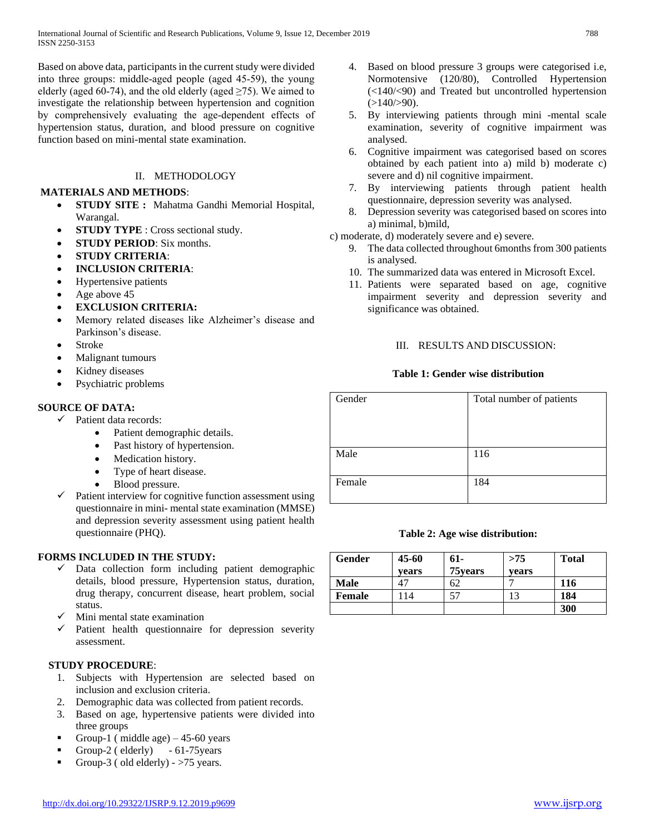Based on above data, participants in the current study were divided into three groups: middle‐aged people (aged 45‐59), the young elderly (aged 60-74), and the old elderly (aged  $\geq$ 75). We aimed to investigate the relationship between hypertension and cognition by comprehensively evaluating the age‐dependent effects of hypertension status, duration, and blood pressure on cognitive function based on mini-mental state examination.

# II. METHODOLOGY

## **MATERIALS AND METHODS**:

- **STUDY SITE :** Mahatma Gandhi Memorial Hospital, Warangal.
- **STUDY TYPE** : Cross sectional study.
- **STUDY PERIOD**: Six months.
- **STUDY CRITERIA**:
- **INCLUSION CRITERIA**:
- Hypertensive patients
- Age above 45
- **EXCLUSION CRITERIA:**
- Memory related diseases like Alzheimer's disease and Parkinson's disease.
- Stroke
- Malignant tumours
- Kidney diseases
- Psychiatric problems

## **SOURCE OF DATA:**

- $\checkmark$  Patient data records:
	- Patient demographic details.
	- Past history of hypertension.
	- Medication history.
	- Type of heart disease.
	- Blood pressure.
- Patient interview for cognitive function assessment using questionnaire in mini- mental state examination (MMSE) and depression severity assessment using patient health questionnaire (PHQ).

## **FORMS INCLUDED IN THE STUDY:**

- Data collection form including patient demographic details, blood pressure, Hypertension status, duration, drug therapy, concurrent disease, heart problem, social status.
- Mini mental state examination
- $\checkmark$  Patient health questionnaire for depression severity assessment.

## **STUDY PROCEDURE**:

- 1. Subjects with Hypertension are selected based on inclusion and exclusion criteria.
- 2. Demographic data was collected from patient records.
- 3. Based on age, hypertensive patients were divided into three groups
- Group-1 (middle age)  $-45-60$  years
- Group-2 (elderly) 61-75 years
- Group-3 (old elderly)  $>75$  years.
- 4. Based on blood pressure 3 groups were categorised i.e, Normotensive (120/80), Controlled Hypertension (<140/<90) and Treated but uncontrolled hypertension  $(>140/>90)$ .
- 5. By interviewing patients through mini -mental scale examination, severity of cognitive impairment was analysed.
- 6. Cognitive impairment was categorised based on scores obtained by each patient into a) mild b) moderate c) severe and d) nil cognitive impairment.
- 7. By interviewing patients through patient health questionnaire, depression severity was analysed.
- 8. Depression severity was categorised based on scores into a) minimal, b)mild,
- c) moderate, d) moderately severe and e) severe.
	- 9. The data collected throughout 6months from 300 patients is analysed.
	- 10. The summarized data was entered in Microsoft Excel.
	- 11. Patients were separated based on age, cognitive impairment severity and depression severity and significance was obtained.

## III. RESULTS AND DISCUSSION:

## **Table 1: Gender wise distribution**

| Gender | Total number of patients |
|--------|--------------------------|
|        |                          |
| Male   | 116                      |
| Female | 184                      |

## **Table 2: Age wise distribution:**

| Gender | 45-60<br>vears | 61-<br>75 years | >75<br>vears | <b>Total</b> |
|--------|----------------|-----------------|--------------|--------------|
| Male   |                | ٦Z              |              | 116          |
| Female | 14             | 57              | 13           | 184          |
|        |                |                 |              | 300          |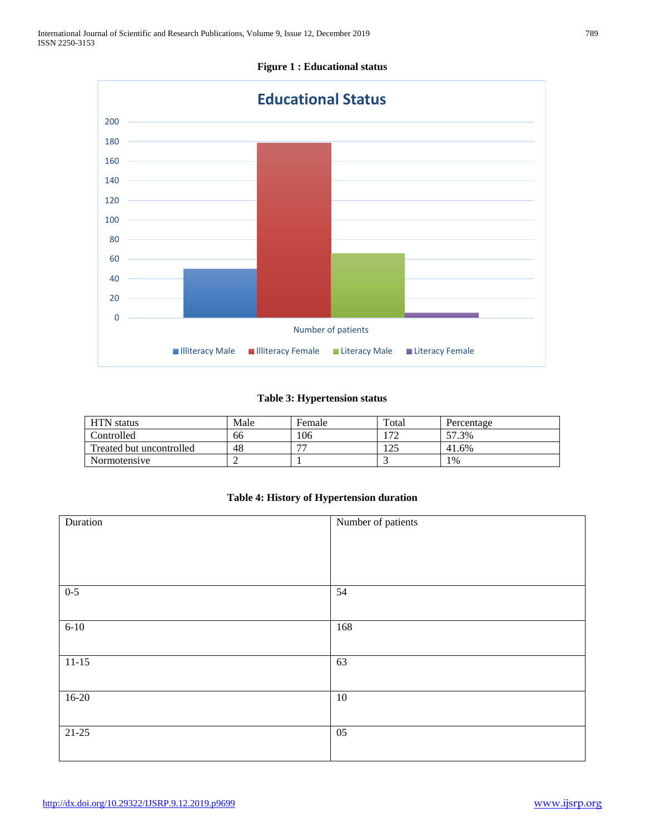

# **Figure 1 : Educational status**

## **Table 3: Hypertension status**

| <b>HTN</b> status        | Male | Female | Total | Percentage |
|--------------------------|------|--------|-------|------------|
| Controlled               | 66   | 106    | ר ד   | 57.3%      |
| Treated but uncontrolled | 48   | 77     | 125   | 41.6%      |
| Normotensive             |      |        |       | $1\%$      |

## **Table 4: History of Hypertension duration**

| Duration | Number of patients |
|----------|--------------------|
|          |                    |
|          |                    |
|          |                    |
| $0-5$    | 54                 |
|          |                    |
| $6 - 10$ | 168                |
|          |                    |
| $11-15$  | 63                 |
|          |                    |
| $16-20$  | 10                 |
|          |                    |
| $21-25$  | $\overline{05}$    |
|          |                    |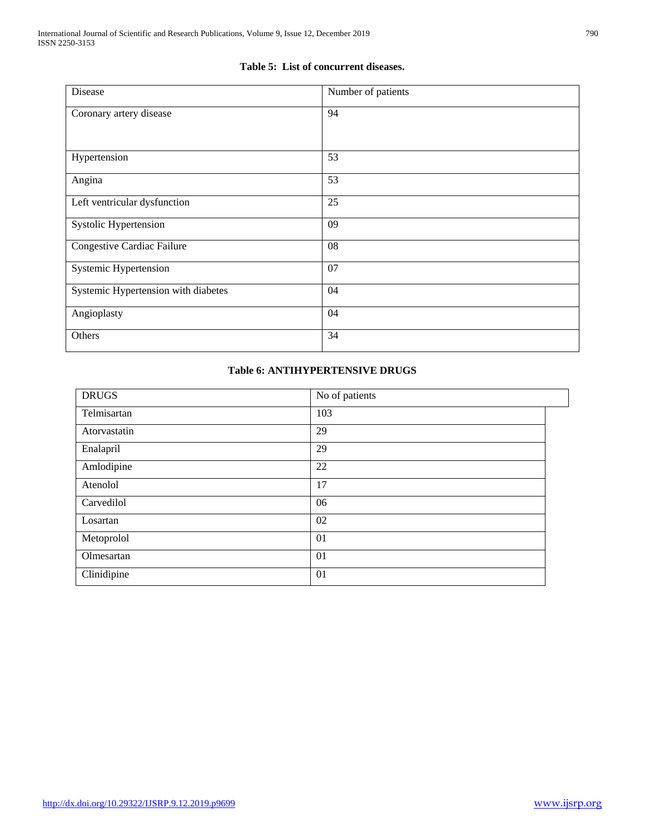## **Table 5: List of concurrent diseases.**

| Disease                             | Number of patients |
|-------------------------------------|--------------------|
| Coronary artery disease             | 94                 |
| Hypertension                        | 53                 |
| Angina                              | 53                 |
| Left ventricular dysfunction        | 25                 |
| Systolic Hypertension               | 09                 |
| Congestive Cardiac Failure          | 08                 |
| Systemic Hypertension               | 07                 |
| Systemic Hypertension with diabetes | 04                 |
| Angioplasty                         | 04                 |
| Others                              | 34                 |

# **Table 6: ANTIHYPERTENSIVE DRUGS**

| <b>DRUGS</b> | No of patients |
|--------------|----------------|
| Telmisartan  | 103            |
| Atorvastatin | 29             |
| Enalapril    | 29             |
| Amlodipine   | 22             |
| Atenolol     | 17             |
| Carvedilol   | 06             |
| Losartan     | 02             |
| Metoprolol   | 01             |
| Olmesartan   | 01             |
| Clinidipine  | 01             |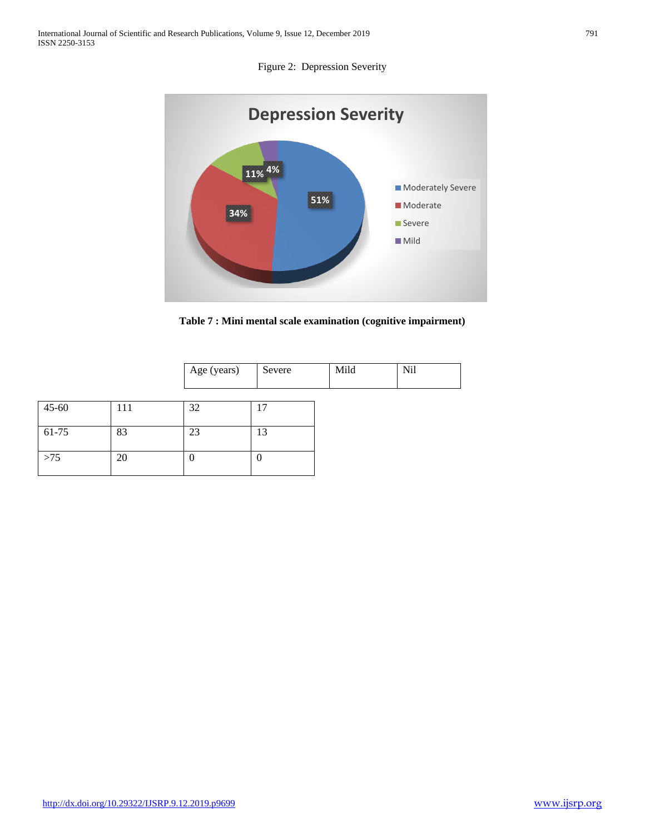

**Table 7 : Mini mental scale examination (cognitive impairment)**

| Age (years) | $\sim$<br>Severe | Mild | ,,, |
|-------------|------------------|------|-----|
|             |                  |      |     |

| $45 - 60$ | 111 | 32 | 17 |
|-----------|-----|----|----|
| 61-75     | 83  | 23 | 13 |
| >75       | 20  |    |    |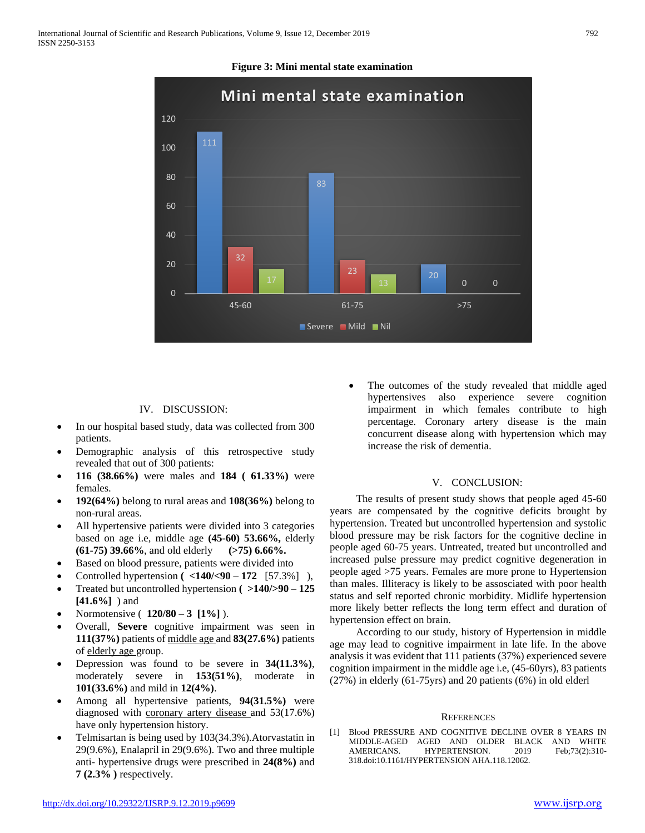



## IV. DISCUSSION:

- In our hospital based study, data was collected from 300 patients.
- Demographic analysis of this retrospective study revealed that out of 300 patients:
- **116 (38.66%)** were males and **184 ( 61.33%)** were females.
- **192(64%)** belong to rural areas and **108(36%)** belong to non-rural areas.
- All hypertensive patients were divided into 3 categories based on age i.e, middle age **(45-60) 53.66%,** elderly **(61-75) 39.66%**, and old elderly **(>75) 6.66%.**
- Based on blood pressure, patients were divided into
- Controlled hypertension **( <140/<90 172** [57.3%] ),
- Treated but uncontrolled hypertension **( >140/>90 125 [41.6%]** ) and
- Normotensive ( **120/80 3 [1%]** ).
- Overall, **Severe** cognitive impairment was seen in **111(37%)** patients of middle age and **83(27.6%)** patients of elderly age group.
- Depression was found to be severe in **34(11.3%)**, moderately severe in **153(51%)**, moderate in **101(33.6%)** and mild in **12(4%)**.
- Among all hypertensive patients, **94(31.5%)** were diagnosed with coronary artery disease and 53(17.6%) have only hypertension history.
- Telmisartan is being used by 103(34.3%).Atorvastatin in 29(9.6%), Enalapril in 29(9.6%). Two and three multiple anti- hypertensive drugs were prescribed in **24(8%)** and **7 (2.3% )** respectively.

 The outcomes of the study revealed that middle aged hypertensives also experience severe cognition impairment in which females contribute to high percentage. Coronary artery disease is the main concurrent disease along with hypertension which may increase the risk of dementia.

#### V. CONCLUSION:

 The results of present study shows that people aged 45-60 years are compensated by the cognitive deficits brought by hypertension. Treated but uncontrolled hypertension and systolic blood pressure may be risk factors for the cognitive decline in people aged 60-75 years. Untreated, treated but uncontrolled and increased pulse pressure may predict cognitive degeneration in people aged >75 years. Females are more prone to Hypertension than males. Illiteracy is likely to be assosciated with poor health status and self reported chronic morbidity. Midlife hypertension more likely better reflects the long term effect and duration of hypertension effect on brain.

 According to our study, history of Hypertension in middle age may lead to cognitive impairment in late life. In the above analysis it was evident that 111 patients (37%) experienced severe cognition impairment in the middle age i.e, (45-60yrs), 83 patients (27%) in elderly (61-75yrs) and 20 patients (6%) in old elderl

### **REFERENCES**

[1] Blood PRESSURE AND COGNITIVE DECLINE OVER 8 YEARS IN MIDDLE-AGED AGED AND OLDER BLACK AND WHITE AMERICANS. HYPERTENSION. 2019 Feb;73(2):310-318.doi:10.1161/HYPERTENSION AHA.118.12062.